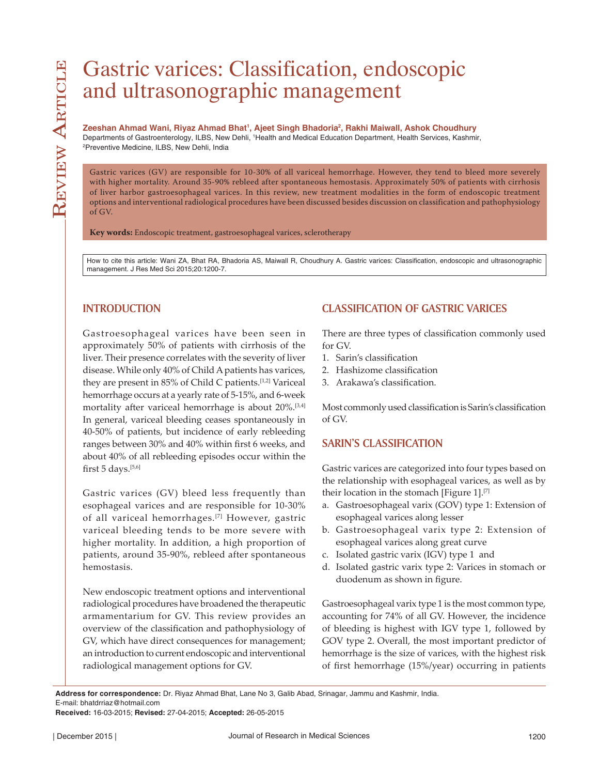# Gastric varices: Classification, endoscopic and ultrasonographic management

**Zeeshan Ahmad Wani, Riyaz Ahmad Bhat1 , Ajeet Singh Bhadoria2 , Rakhi Maiwall, Ashok Choudhury** Departments of Gastroenterology, ILBS, New Dehli, 'Health and Medical Education Department, Health Services, Kashmir,<br><sup>2</sup>Preventive Medicine, ILBS, New Dehli, India <sup>2</sup>Preventive Medicine, ILBS, New Dehli, India

Gastric varices (GV) are responsible for 10-30% of all variceal hemorrhage. However, they tend to bleed more severely with higher mortality. Around 35-90% rebleed after spontaneous hemostasis. Approximately 50% of patients with cirrhosis of liver harbor gastroesophageal varices. In this review, new treatment modalities in the form of endoscopic treatment options and interventional radiological procedures have been discussed besides discussion on classification and pathophysiology of GV.

**Key words:** Endoscopic treatment, gastroesophageal varices, sclerotherapy

How to cite this article: Wani ZA, Bhat RA, Bhadoria AS, Maiwall R, Choudhury A. Gastric varices: Classification, endoscopic and ultrasonographic management. J Res Med Sci 2015;20:1200-7.

# **INTRODUCTION**

Gastroesophageal varices have been seen in approximately 50% of patients with cirrhosis of the liver. Their presence correlates with the severity of liver disease. While only 40% of Child A patients has varices, they are present in 85% of Child C patients.<sup>[1,2]</sup> Variceal hemorrhage occurs at a yearly rate of 5-15%, and 6-week mortality after variceal hemorrhage is about 20%.[3,4] In general, variceal bleeding ceases spontaneously in 40-50% of patients, but incidence of early rebleeding ranges between 30% and 40% within first 6 weeks, and about 40% of all rebleeding episodes occur within the first 5 days.<sup>[5,6]</sup>

Gastric varices (GV) bleed less frequently than esophageal varices and are responsible for 10-30% of all variceal hemorrhages.[7] However, gastric variceal bleeding tends to be more severe with higher mortality. In addition, a high proportion of patients, around 35-90%, rebleed after spontaneous hemostasis.

New endoscopic treatment options and interventional radiological procedures have broadened the therapeutic armamentarium for GV. This review provides an overview of the classification and pathophysiology of GV, which have direct consequences for management; an introduction to current endoscopic and interventional radiological management options for GV.

# **CLASSIFICATION OF GASTRIC VARICES**

There are three types of classification commonly used for GV.

- 1. Sarin's classification
- 2. Hashizome classification
- 3. Arakawa's classification.

Most commonly used classification is Sarin's classification of GV.

# **SARIN'S CLASSIFICATION**

Gastric varices are categorized into four types based on the relationship with esophageal varices, as well as by their location in the stomach [Figure  $1$ ].<sup>[7]</sup>

- a. Gastroesophageal varix (GOV) type 1: Extension of esophageal varices along lesser
- b. Gastroesophageal varix type 2: Extension of esophageal varices along great curve
- c. Isolated gastric varix (IGV) type 1 and
- d. Isolated gastric varix type 2: Varices in stomach or duodenum as shown in figure.

Gastroesophageal varix type 1 is the most common type, accounting for 74% of all GV. However, the incidence of bleeding is highest with IGV type 1, followed by GOV type 2. Overall, the most important predictor of hemorrhage is the size of varices, with the highest risk of first hemorrhage (15%/year) occurring in patients

**Address for correspondence:** Dr. Riyaz Ahmad Bhat, Lane No 3, Galib Abad, Srinagar, Jammu and Kashmir, India. E-mail: bhatdrriaz@hotmail.com

**Received:** 16-03-2015; **Revised:** 27-04-2015; **Accepted:** 26-05-2015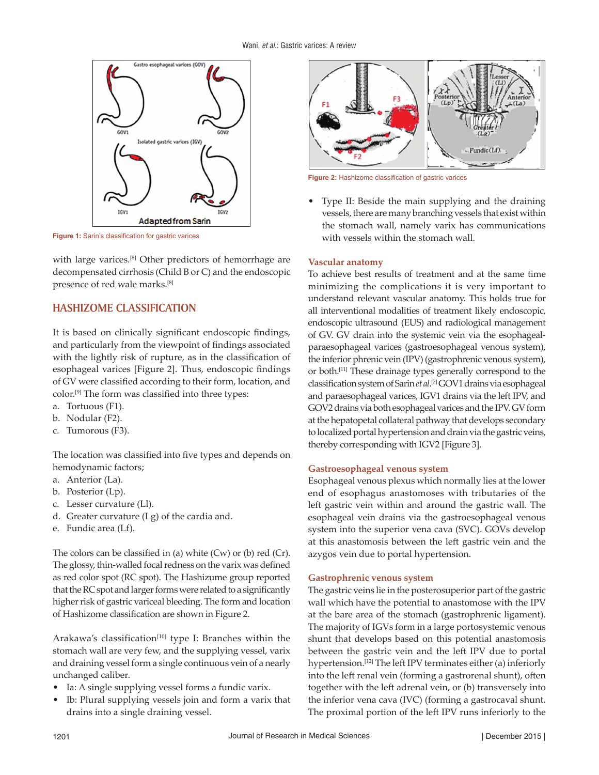

**Figure 1:** Sarin's classification for gastric varices

with large varices.[8] Other predictors of hemorrhage are decompensated cirrhosis (Child B or C) and the endoscopic presence of red wale marks.[8]

## **HASHIZOME CLASSIFICATION**

It is based on clinically significant endoscopic findings, and particularly from the viewpoint of findings associated with the lightly risk of rupture, as in the classification of esophageal varices [Figure 2]. Thus, endoscopic findings of GV were classified according to their form, location, and color.[9] The form was classified into three types:

- a. Tortuous (F1).
- b. Nodular (F2).
- c. Tumorous (F3).

The location was classified into five types and depends on hemodynamic factors;

- a. Anterior (La).
- b. Posterior (Lp).
- c. Lesser curvature (Ll).
- d. Greater curvature (Lg) of the cardia and.
- e. Fundic area (Lf).

The colors can be classified in (a) white (Cw) or (b) red (Cr). The glossy, thin-walled focal redness on the varix was defined as red color spot (RC spot). The Hashizume group reported that the RC spot and larger forms were related to a significantly higher risk of gastric variceal bleeding. The form and location of Hashizome classification are shown in Figure 2.

Arakawa's classification<sup>[10]</sup> type I: Branches within the stomach wall are very few, and the supplying vessel, varix and draining vessel form a single continuous vein of a nearly unchanged caliber.

- Ia: A single supplying vessel forms a fundic varix.
- Ib: Plural supplying vessels join and form a varix that drains into a single draining vessel.



**Figure 2:** Hashizome classification of gastric varices

• Type II: Beside the main supplying and the draining vessels, there are many branching vessels that exist within the stomach wall, namely varix has communications with vessels within the stomach wall.

#### **Vascular anatomy**

To achieve best results of treatment and at the same time minimizing the complications it is very important to understand relevant vascular anatomy. This holds true for all interventional modalities of treatment likely endoscopic, endoscopic ultrasound (EUS) and radiological management of GV. GV drain into the systemic vein via the esophagealparaesophageal varices (gastroesophageal venous system), the inferior phrenic vein (IPV) (gastrophrenic venous system), or both.[11] These drainage types generally correspond to the classification system of Sarin *et al*. [7] GOV1 drains via esophageal and paraesophageal varices, IGV1 drains via the left IPV, and GOV2 drains via both esophageal varices and the IPV. GV form at the hepatopetal collateral pathway that develops secondary to localized portal hypertension and drain via the gastric veins, thereby corresponding with IGV2 [Figure 3].

#### **Gastroesophageal venous system**

Esophageal venous plexus which normally lies at the lower end of esophagus anastomoses with tributaries of the left gastric vein within and around the gastric wall. The esophageal vein drains via the gastroesophageal venous system into the superior vena cava (SVC). GOVs develop at this anastomosis between the left gastric vein and the azygos vein due to portal hypertension.

#### **Gastrophrenic venous system**

The gastric veins lie in the posterosuperior part of the gastric wall which have the potential to anastomose with the IPV at the bare area of the stomach (gastrophrenic ligament). The majority of IGVs form in a large portosystemic venous shunt that develops based on this potential anastomosis between the gastric vein and the left IPV due to portal hypertension.<sup>[12]</sup> The left IPV terminates either (a) inferiorly into the left renal vein (forming a gastrorenal shunt), often together with the left adrenal vein, or (b) transversely into the inferior vena cava (IVC) (forming a gastrocaval shunt. The proximal portion of the left IPV runs inferiorly to the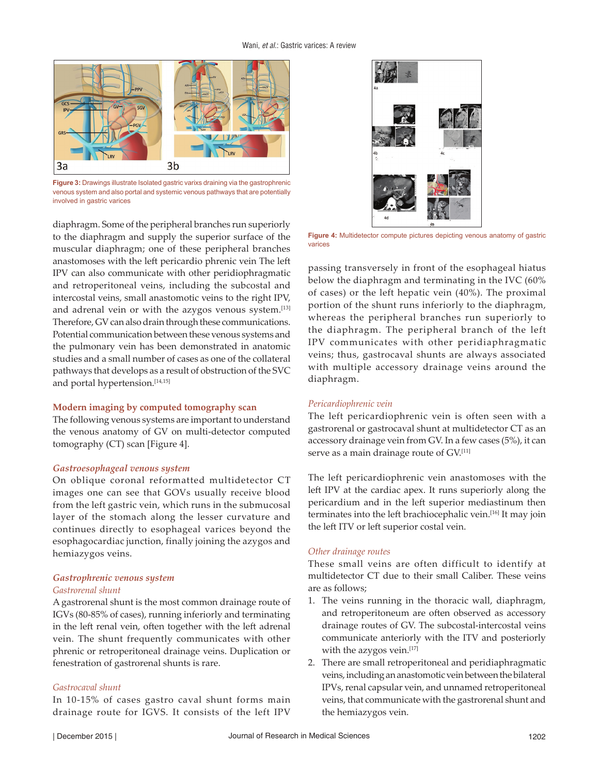

**Figure 3:** Drawings illustrate Isolated gastric varixs draining via the gastrophrenic venous system and also portal and systemic venous pathways that are potentially involved in gastric varices

diaphragm. Some of the peripheral branches run superiorly to the diaphragm and supply the superior surface of the muscular diaphragm; one of these peripheral branches anastomoses with the left pericardio phrenic vein The left IPV can also communicate with other peridiophragmatic and retroperitoneal veins, including the subcostal and intercostal veins, small anastomotic veins to the right IPV, and adrenal vein or with the azygos venous system.[13] Therefore, GV can also drain through these communications. Potential communication between these venous systems and the pulmonary vein has been demonstrated in anatomic studies and a small number of cases as one of the collateral pathways that develops as a result of obstruction of the SVC and portal hypertension.[14,15]

#### **Modern imaging by computed tomography scan**

The following venous systems are important to understand the venous anatomy of GV on multi-detector computed tomography (CT) scan [Figure 4].

#### *Gastroesophageal venous system*

On oblique coronal reformatted multidetector CT images one can see that GOVs usually receive blood from the left gastric vein, which runs in the submucosal layer of the stomach along the lesser curvature and continues directly to esophageal varices beyond the esophagocardiac junction, finally joining the azygos and hemiazygos veins.

#### *Gastrophrenic venous system Gastrorenal shunt*

A gastrorenal shunt is the most common drainage route of IGVs (80-85% of cases), running inferiorly and terminating in the left renal vein, often together with the left adrenal vein. The shunt frequently communicates with other phrenic or retroperitoneal drainage veins. Duplication or fenestration of gastrorenal shunts is rare.

#### *Gastrocaval shunt*

In 10-15% of cases gastro caval shunt forms main drainage route for IGVS. It consists of the left IPV



**Figure 4:** Multidetector compute pictures depicting venous anatomy of gastric varices

passing transversely in front of the esophageal hiatus below the diaphragm and terminating in the IVC (60% of cases) or the left hepatic vein (40%). The proximal portion of the shunt runs inferiorly to the diaphragm, whereas the peripheral branches run superiorly to the diaphragm. The peripheral branch of the left IPV communicates with other peridiaphragmatic veins; thus, gastrocaval shunts are always associated with multiple accessory drainage veins around the diaphragm.

#### *Pericardiophrenic vein*

The left pericardiophrenic vein is often seen with a gastrorenal or gastrocaval shunt at multidetector CT as an accessory drainage vein from GV. In a few cases (5%), it can serve as a main drainage route of GV.<sup>[11]</sup>

The left pericardiophrenic vein anastomoses with the left IPV at the cardiac apex. It runs superiorly along the pericardium and in the left superior mediastinum then terminates into the left brachiocephalic vein.[16] It may join the left ITV or left superior costal vein.

#### *Other drainage routes*

These small veins are often difficult to identify at multidetector CT due to their small Caliber. These veins are as follows;

- 1. The veins running in the thoracic wall, diaphragm, and retroperitoneum are often observed as accessory drainage routes of GV. The subcostal-intercostal veins communicate anteriorly with the ITV and posteriorly with the azygos vein.[17]
- 2. There are small retroperitoneal and peridiaphragmatic veins, including an anastomotic vein between the bilateral IPVs, renal capsular vein, and unnamed retroperitoneal veins, that communicate with the gastrorenal shunt and the hemiazygos vein.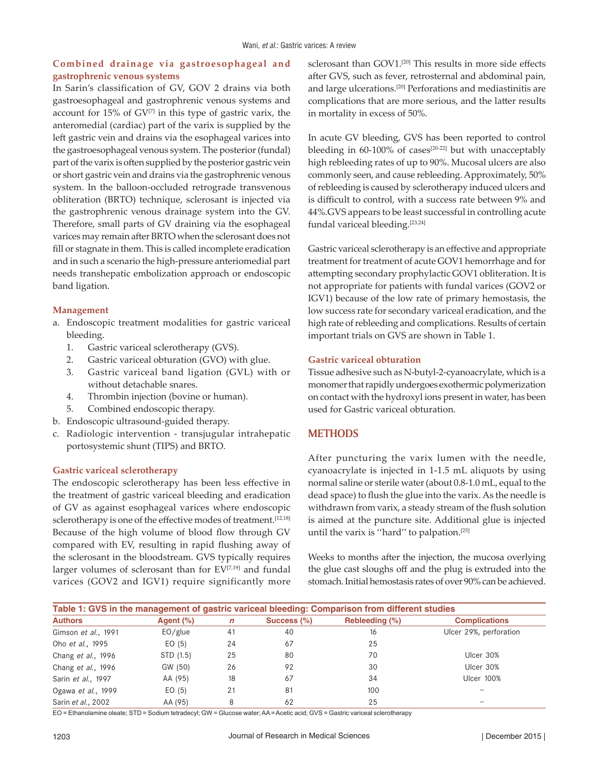## **Combined drainage via gastroesophageal and gastrophrenic venous systems**

In Sarin's classification of GV, GOV 2 drains via both gastroesophageal and gastrophrenic venous systems and account for  $15\%$  of  $GV^{[7]}$  in this type of gastric varix, the anteromedial (cardiac) part of the varix is supplied by the left gastric vein and drains via the esophageal varices into the gastroesophageal venous system. The posterior (fundal) part of the varix is often supplied by the posterior gastric vein or short gastric vein and drains via the gastrophrenic venous system. In the balloon-occluded retrograde transvenous obliteration (BRTO) technique, sclerosant is injected via the gastrophrenic venous drainage system into the GV. Therefore, small parts of GV draining via the esophageal varices may remain after BRTO when the sclerosant does not fill or stagnate in them. This is called incomplete eradication and in such a scenario the high-pressure anteriomedial part needs transhepatic embolization approach or endoscopic band ligation.

#### **Management**

- a. Endoscopic treatment modalities for gastric variceal bleeding.
	- 1. Gastric variceal sclerotherapy (GVS).
	- 2. Gastric variceal obturation (GVO) with glue.
	- 3. Gastric variceal band ligation (GVL) with or without detachable snares.
	- 4. Thrombin injection (bovine or human).
	- 5. Combined endoscopic therapy.
- b. Endoscopic ultrasound-guided therapy.
- c. Radiologic intervention transjugular intrahepatic portosystemic shunt (TIPS) and BRTO.

#### **Gastric variceal sclerotherapy**

The endoscopic sclerotherapy has been less effective in the treatment of gastric variceal bleeding and eradication of GV as against esophageal varices where endoscopic sclerotherapy is one of the effective modes of treatment.<sup>[12,18]</sup> Because of the high volume of blood flow through GV compared with EV, resulting in rapid flushing away of the sclerosant in the bloodstream. GVS typically requires larger volumes of sclerosant than for  $EV^{[7,19]}$  and fundal varices (GOV2 and IGV1) require significantly more

sclerosant than GOV1.<sup>[20]</sup> This results in more side effects after GVS, such as fever, retrosternal and abdominal pain, and large ulcerations.[20] Perforations and mediastinitis are complications that are more serious, and the latter results in mortality in excess of 50%.

In acute GV bleeding, GVS has been reported to control bleeding in 60-100% of cases<sup>[20-22]</sup> but with unacceptably high rebleeding rates of up to 90%. Mucosal ulcers are also commonly seen, and cause rebleeding. Approximately, 50% of rebleeding is caused by sclerotherapy induced ulcers and is difficult to control, with a success rate between 9% and 44%.GVS appears to be least successful in controlling acute fundal variceal bleeding.<sup>[23,24]</sup>

Gastric variceal sclerotherapy is an effective and appropriate treatment for treatment of acute GOV1 hemorrhage and for attempting secondary prophylactic GOV1 obliteration. It is not appropriate for patients with fundal varices (GOV2 or IGV1) because of the low rate of primary hemostasis, the low success rate for secondary variceal eradication, and the high rate of rebleeding and complications. Results of certain important trials on GVS are shown in Table 1.

#### **Gastric variceal obturation**

Tissue adhesive such as N-butyl-2-cyanoacrylate, which is a monomer that rapidly undergoes exothermic polymerization on contact with the hydroxyl ions present in water, has been used for Gastric variceal obturation.

# **METHODS**

After puncturing the varix lumen with the needle, cyanoacrylate is injected in 1-1.5 mL aliquots by using normal saline or sterile water (about 0.8-1.0 mL, equal to the dead space) to flush the glue into the varix. As the needle is withdrawn from varix, a steady stream of the flush solution is aimed at the puncture site. Additional glue is injected until the varix is ''hard'' to palpation.[25]

Weeks to months after the injection, the mucosa overlying the glue cast sloughs off and the plug is extruded into the stomach. Initial hemostasis rates of over 90% can be achieved.

| Table 1: GVS in the management of gastric variceal bleeding: Comparison from different studies |              |    |             |                |                        |  |  |
|------------------------------------------------------------------------------------------------|--------------|----|-------------|----------------|------------------------|--|--|
| <b>Authors</b>                                                                                 | Agent $(\%)$ | n  | Success (%) | Rebleeding (%) | <b>Complications</b>   |  |  |
| Gimson et al., 1991                                                                            | EO/glue      | 41 | 40          | 16             | Ulcer 29%, perforation |  |  |
| Oho et al., 1995                                                                               | EO(5)        | 24 | 67          | 25             |                        |  |  |
| Chang et al., 1996                                                                             | STD (1.5)    | 25 | 80          | 70             | Ulcer 30%              |  |  |
| Chang et al., 1996                                                                             | GW (50)      | 26 | 92          | 30             | Ulcer 30%              |  |  |
| Sarin et al., 1997                                                                             | AA (95)      | 18 | 67          | 34             | <b>Ulcer 100%</b>      |  |  |
| Ogawa et al., 1999                                                                             | EO(5)        | 21 | 81          | 100            |                        |  |  |
| Sarin et al., 2002                                                                             | AA (95)      | 8  | 62          | 25             |                        |  |  |

EO = Ethanolamine oleate; STD = Sodium tetradecyl; GW = Glucose water; AA = Acetic acid; GVS = Gastric variceal sclerotherapy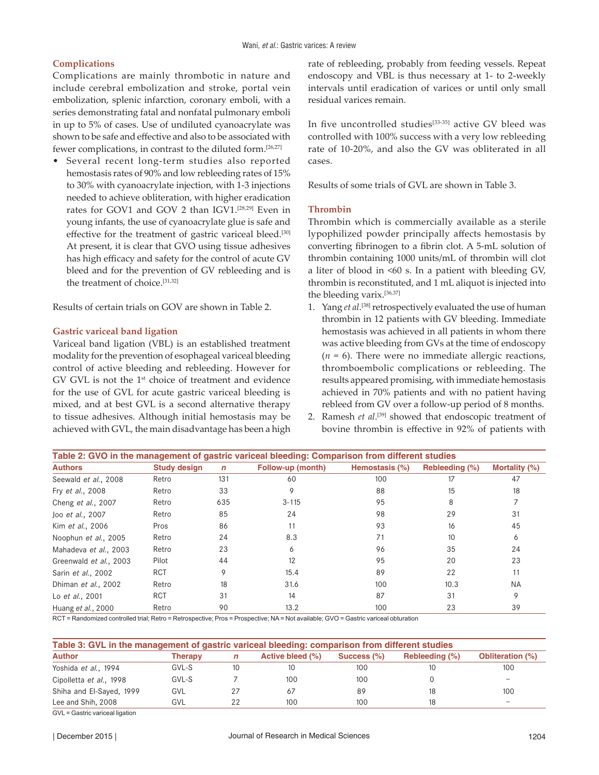## **Complications**

Complications are mainly thrombotic in nature and include cerebral embolization and stroke, portal vein embolization, splenic infarction, coronary emboli, with a series demonstrating fatal and nonfatal pulmonary emboli in up to 5% of cases. Use of undiluted cyanoacrylate was shown to be safe and effective and also to be associated with fewer complications, in contrast to the diluted form.[26,27]

• Several recent long-term studies also reported hemostasis rates of 90% and low rebleeding rates of 15% to 30% with cyanoacrylate injection, with 1-3 injections needed to achieve obliteration, with higher eradication rates for GOV1 and GOV 2 than IGV1.[28,29] Even in young infants, the use of cyanoacrylate glue is safe and effective for the treatment of gastric variceal bleed.<sup>[30]</sup> At present, it is clear that GVO using tissue adhesives has high efficacy and safety for the control of acute GV bleed and for the prevention of GV rebleeding and is the treatment of choice.[31,32]

Results of certain trials on GOV are shown in Table 2.

#### **Gastric variceal band ligation**

Variceal band ligation (VBL) is an established treatment modality for the prevention of esophageal variceal bleeding control of active bleeding and rebleeding. However for GV GVL is not the 1<sup>st</sup> choice of treatment and evidence for the use of GVL for acute gastric variceal bleeding is mixed, and at best GVL is a second alternative therapy to tissue adhesives. Although initial hemostasis may be achieved with GVL, the main disadvantage has been a high rate of rebleeding, probably from feeding vessels. Repeat endoscopy and VBL is thus necessary at 1- to 2-weekly intervals until eradication of varices or until only small residual varices remain.

In five uncontrolled studies<sup>[33-35]</sup> active GV bleed was controlled with 100% success with a very low rebleeding rate of 10-20%, and also the GV was obliterated in all cases.

Results of some trials of GVL are shown in Table 3.

#### **Thrombin**

Thrombin which is commercially available as a sterile lypophilized powder principally affects hemostasis by converting fibrinogen to a fibrin clot. A 5-mL solution of thrombin containing 1000 units/mL of thrombin will clot a liter of blood in  $\leq 60$  s. In a patient with bleeding GV, thrombin is reconstituted, and 1 mL aliquot is injected into the bleeding varix.[36,37]

- 1. Yang *et al*. [38] retrospectively evaluated the use of human thrombin in 12 patients with GV bleeding. Immediate hemostasis was achieved in all patients in whom there was active bleeding from GVs at the time of endoscopy  $(n = 6)$ . There were no immediate allergic reactions, thromboembolic complications or rebleeding. The results appeared promising, with immediate hemostasis achieved in 70% patients and with no patient having rebleed from GV over a follow-up period of 8 months.
- 2. Ramesh *et al.*<sup>[39]</sup> showed that endoscopic treatment of bovine thrombin is effective in 92% of patients with

| Table 2: GVO in the management of gastric variceal bleeding: Comparison from different studies |                     |              |                   |                |                |               |  |
|------------------------------------------------------------------------------------------------|---------------------|--------------|-------------------|----------------|----------------|---------------|--|
| <b>Authors</b>                                                                                 | <b>Study design</b> | $\mathsf{n}$ | Follow-up (month) | Hemostasis (%) | Rebleeding (%) | Mortality (%) |  |
| Seewald et al., 2008                                                                           | Retro               | 131          | 60                | 100            | 17             | 47            |  |
| Fry et al., 2008                                                                               | Retro               | 33           | 9                 | 88             | 15             | 18            |  |
| Cheng et al., 2007                                                                             | Retro               | 635          | $3 - 115$         | 95             | 8              |               |  |
| Joo et al., 2007                                                                               | Retro               | 85           | 24                | 98             | 29             | 31            |  |
| Kim et al., 2006                                                                               | Pros                | 86           | 11                | 93             | 16             | 45            |  |
| Noophun et al., 2005                                                                           | Retro               | 24           | 8.3               | 71             | 10             | 6             |  |
| Mahadeva et al., 2003                                                                          | Retro               | 23           | 6                 | 96             | 35             | 24            |  |
| Greenwald et al., 2003                                                                         | Pilot               | 44           | 12                | 95             | 20             | 23            |  |
| Sarin et al., 2002                                                                             | <b>RCT</b>          | 9            | 15.4              | 89             | 22             | 11            |  |
| Dhiman et al., 2002                                                                            | Retro               | 18           | 31.6              | 100            | 10.3           | <b>NA</b>     |  |
| Lo et al., 2001                                                                                | <b>RCT</b>          | 31           | 14                | 87             | 31             | 9             |  |
| Huang et al., 2000                                                                             | Retro               | 90           | 13.2              | 100            | 23             | 39            |  |

RCT = Randomized controlled trial; Retro = Retrospective; Pros = Prospective; NA = Not available; GVO = Gastric variceal obturation

| Table 3: GVL in the management of gastric variceal bleeding: comparison from different studies |         |    |                  |             |                |                         |  |
|------------------------------------------------------------------------------------------------|---------|----|------------------|-------------|----------------|-------------------------|--|
| <b>Author</b>                                                                                  | Therapv | n  | Active bleed (%) | Success (%) | Rebleeding (%) | <b>Obliteration (%)</b> |  |
| Yoshida et al., 1994                                                                           | GVL-S   | 10 | 10               | 100         |                | 100                     |  |
| Cipolletta et al., 1998                                                                        | GVL-S   |    | 100              | 100         |                |                         |  |
| Shiha and El-Sayed, 1999                                                                       | GVL     |    | 67               | 89          | 18             | 100                     |  |
| Lee and Shih, 2008                                                                             | GVL     |    | 100              | 100         | 18             |                         |  |

GVL = Gastric variceal ligation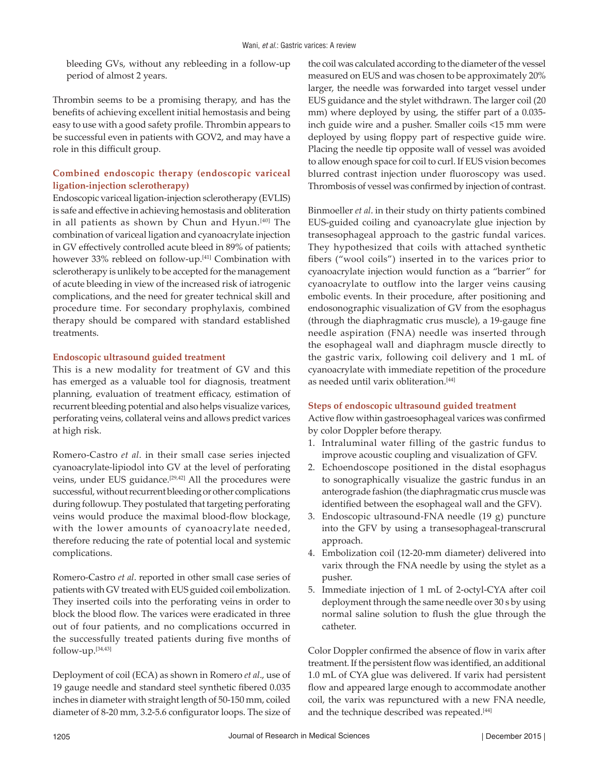bleeding GVs, without any rebleeding in a follow-up period of almost 2 years.

Thrombin seems to be a promising therapy, and has the benefits of achieving excellent initial hemostasis and being easy to use with a good safety profile. Thrombin appears to be successful even in patients with GOV2, and may have a role in this difficult group.

## **Combined endoscopic therapy (endoscopic variceal ligation-injection sclerotherapy)**

Endoscopic variceal ligation-injection sclerotherapy (EVLIS) is safe and effective in achieving hemostasis and obliteration in all patients as shown by Chun and Hyun.[40] The combination of variceal ligation and cyanoacrylate injection in GV effectively controlled acute bleed in 89% of patients; however 33% rebleed on follow-up.[41] Combination with sclerotherapy is unlikely to be accepted for the management of acute bleeding in view of the increased risk of iatrogenic complications, and the need for greater technical skill and procedure time. For secondary prophylaxis, combined therapy should be compared with standard established treatments.

#### **Endoscopic ultrasound guided treatment**

This is a new modality for treatment of GV and this has emerged as a valuable tool for diagnosis, treatment planning, evaluation of treatment efficacy, estimation of recurrent bleeding potential and also helps visualize varices, perforating veins, collateral veins and allows predict varices at high risk.

Romero-Castro *et al*. in their small case series injected cyanoacrylate-lipiodol into GV at the level of perforating veins, under EUS guidance.<sup>[29,42]</sup> All the procedures were successful, without recurrent bleeding or other complications during followup. They postulated that targeting perforating veins would produce the maximal blood-flow blockage, with the lower amounts of cyanoacrylate needed, therefore reducing the rate of potential local and systemic complications.

Romero-Castro *et al*. reported in other small case series of patients with GV treated with EUS guided coil embolization. They inserted coils into the perforating veins in order to block the blood flow. The varices were eradicated in three out of four patients, and no complications occurred in the successfully treated patients during five months of follow-up.[34,43]

Deployment of coil (ECA) as shown in Romero *et al*., use of 19 gauge needle and standard steel synthetic fibered 0.035 inches in diameter with straight length of 50-150 mm, coiled diameter of 8-20 mm, 3.2-5.6 configurator loops. The size of

the coil was calculated according to the diameter of the vessel measured on EUS and was chosen to be approximately 20% larger, the needle was forwarded into target vessel under EUS guidance and the stylet withdrawn. The larger coil (20 mm) where deployed by using, the stiffer part of a 0.035 inch guide wire and a pusher. Smaller coils <15 mm were deployed by using floppy part of respective guide wire. Placing the needle tip opposite wall of vessel was avoided to allow enough space for coil to curl. If EUS vision becomes blurred contrast injection under fluoroscopy was used. Thrombosis of vessel was confirmed by injection of contrast.

Binmoeller *et al*. in their study on thirty patients combined EUS-guided coiling and cyanoacrylate glue injection by transesophageal approach to the gastric fundal varices. They hypothesized that coils with attached synthetic fibers ("wool coils") inserted in to the varices prior to cyanoacrylate injection would function as a "barrier" for cyanoacrylate to outflow into the larger veins causing embolic events. In their procedure, after positioning and endosonographic visualization of GV from the esophagus (through the diaphragmatic crus muscle), a 19-gauge fine needle aspiration (FNA) needle was inserted through the esophageal wall and diaphragm muscle directly to the gastric varix, following coil delivery and 1 mL of cyanoacrylate with immediate repetition of the procedure as needed until varix obliteration.<sup>[44]</sup>

#### **Steps of endoscopic ultrasound guided treatment**

Active flow within gastroesophageal varices was confirmed by color Doppler before therapy.

- 1. Intraluminal water filling of the gastric fundus to improve acoustic coupling and visualization of GFV.
- 2. Echoendoscope positioned in the distal esophagus to sonographically visualize the gastric fundus in an anterograde fashion (the diaphragmatic crus muscle was identified between the esophageal wall and the GFV).
- 3. Endoscopic ultrasound-FNA needle (19 g) puncture into the GFV by using a transesophageal-transcrural approach.
- 4. Embolization coil (12-20-mm diameter) delivered into varix through the FNA needle by using the stylet as a pusher.
- 5. Immediate injection of 1 mL of 2-octyl-CYA after coil deployment through the same needle over 30 s by using normal saline solution to flush the glue through the catheter.

Color Doppler confirmed the absence of flow in varix after treatment. If the persistent flow was identified, an additional 1.0 mL of CYA glue was delivered. If varix had persistent flow and appeared large enough to accommodate another coil, the varix was repunctured with a new FNA needle, and the technique described was repeated.<sup>[44]</sup>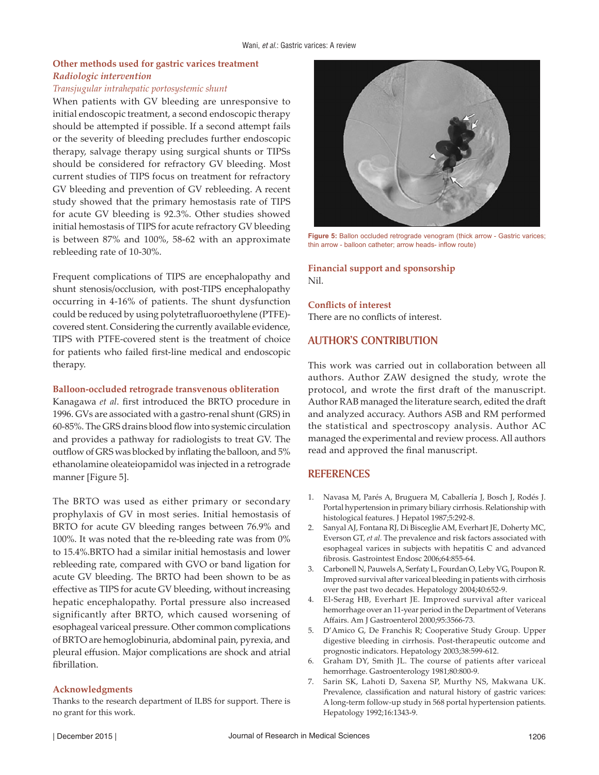## **Other methods used for gastric varices treatment** *Radiologic intervention*

#### *Transjugular intrahepatic portosystemic shunt*

When patients with GV bleeding are unresponsive to initial endoscopic treatment, a second endoscopic therapy should be attempted if possible. If a second attempt fails or the severity of bleeding precludes further endoscopic therapy, salvage therapy using surgical shunts or TIPSs should be considered for refractory GV bleeding. Most current studies of TIPS focus on treatment for refractory GV bleeding and prevention of GV rebleeding. A recent study showed that the primary hemostasis rate of TIPS for acute GV bleeding is 92.3%. Other studies showed initial hemostasis of TIPS for acute refractory GV bleeding is between 87% and 100%, 58-62 with an approximate rebleeding rate of 10-30%.

Frequent complications of TIPS are encephalopathy and shunt stenosis/occlusion, with post-TIPS encephalopathy occurring in 4-16% of patients. The shunt dysfunction could be reduced by using polytetrafluoroethylene (PTFE) covered stent. Considering the currently available evidence, TIPS with PTFE-covered stent is the treatment of choice for patients who failed first-line medical and endoscopic therapy.

#### **Balloon-occluded retrograde transvenous obliteration**

Kanagawa *et al*. first introduced the BRTO procedure in 1996. GVs are associated with a gastro-renal shunt (GRS) in 60-85%. The GRS drains blood flow into systemic circulation and provides a pathway for radiologists to treat GV. The outflow of GRS was blocked by inflating the balloon, and 5% ethanolamine oleateiopamidol was injected in a retrograde manner [Figure 5].

The BRTO was used as either primary or secondary prophylaxis of GV in most series. Initial hemostasis of BRTO for acute GV bleeding ranges between 76.9% and 100%. It was noted that the re-bleeding rate was from 0% to 15.4%.BRTO had a similar initial hemostasis and lower rebleeding rate, compared with GVO or band ligation for acute GV bleeding. The BRTO had been shown to be as effective as TIPS for acute GV bleeding, without increasing hepatic encephalopathy. Portal pressure also increased significantly after BRTO, which caused worsening of esophageal variceal pressure. Other common complications of BRTO are hemoglobinuria, abdominal pain, pyrexia, and pleural effusion. Major complications are shock and atrial fibrillation.

#### **Acknowledgments**

Thanks to the research department of ILBS for support. There is no grant for this work.



**Figure 5:** Ballon occluded retrograde venogram (thick arrow - Gastric varices; thin arrow - balloon catheter; arrow heads- inflow route)

**Financial support and sponsorship** Nil.

**Conflicts of interest** There are no conflicts of interest.

## **AUTHOR'S CONTRIBUTION**

This work was carried out in collaboration between all authors. Author ZAW designed the study, wrote the protocol, and wrote the first draft of the manuscript. Author RAB managed the literature search, edited the draft and analyzed accuracy. Authors ASB and RM performed the statistical and spectroscopy analysis. Author AC managed the experimental and review process. All authors read and approved the final manuscript.

## **REFERENCES**

- 1. Navasa M, Parés A, Bruguera M, Caballería J, Bosch J, Rodés J. Portal hypertension in primary biliary cirrhosis. Relationship with histological features. J Hepatol 1987;5:292-8.
- 2. Sanyal AJ, Fontana RJ, Di Bisceglie AM, Everhart JE, Doherty MC, Everson GT, *et al.* The prevalence and risk factors associated with esophageal varices in subjects with hepatitis C and advanced fibrosis. Gastrointest Endosc 2006;64:855-64.
- 3. Carbonell N, Pauwels A, Serfaty L, Fourdan O, Leby VG, PouponR. Improved survival after variceal bleeding in patients with cirrhosis over the past two decades. Hepatology 2004;40:652-9.
- 4. El-Serag HB, Everhart JE. Improved survival after variceal hemorrhage over an 11-year period in the Department of Veterans Affairs. Am J Gastroenterol 2000;95:3566-73.
- 5. D'Amico G, De Franchis R; Cooperative Study Group. Upper digestive bleeding in cirrhosis. Post-therapeutic outcome and prognostic indicators. Hepatology 2003;38:599-612.
- 6. Graham DY, Smith JL. The course of patients after variceal hemorrhage. Gastroenterology 1981;80:800-9.
- 7. Sarin SK, Lahoti D, Saxena SP, Murthy NS, Makwana UK. Prevalence, classification and natural history of gastric varices: A long-term follow-up study in 568 portal hypertension patients. Hepatology 1992;16:1343-9.